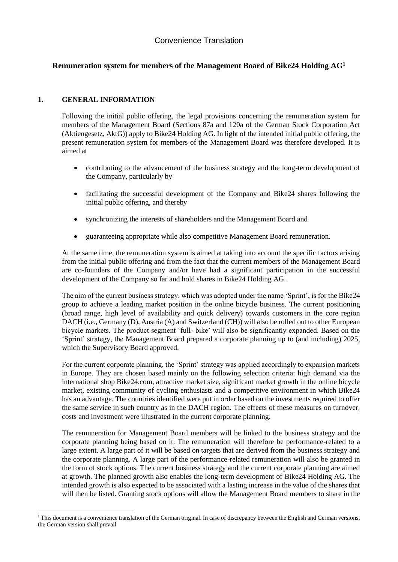# **Remuneration system for members of the Management Board of Bike24 Holding AG<sup>1</sup>**

## **1. GENERAL INFORMATION**

Following the initial public offering, the legal provisions concerning the remuneration system for members of the Management Board (Sections 87a and 120a of the German Stock Corporation Act (Aktiengesetz, AktG)) apply to Bike24 Holding AG. In light of the intended initial public offering, the present remuneration system for members of the Management Board was therefore developed. It is aimed at

- contributing to the advancement of the business strategy and the long-term development of the Company, particularly by
- facilitating the successful development of the Company and Bike24 shares following the initial public offering, and thereby
- synchronizing the interests of shareholders and the Management Board and
- guaranteeing appropriate while also competitive Management Board remuneration.

At the same time, the remuneration system is aimed at taking into account the specific factors arising from the initial public offering and from the fact that the current members of the Management Board are co-founders of the Company and/or have had a significant participation in the successful development of the Company so far and hold shares in Bike24 Holding AG.

The aim of the current business strategy, which was adopted under the name 'Sprint', is for the Bike24 group to achieve a leading market position in the online bicycle business. The current positioning (broad range, high level of availability and quick delivery) towards customers in the core region DACH (i.e., Germany (D), Austria (A) and Switzerland (CH)) will also be rolled out to other European bicycle markets. The product segment 'full- bike' will also be significantly expanded. Based on the 'Sprint' strategy, the Management Board prepared a corporate planning up to (and including) 2025, which the Supervisory Board approved.

For the current corporate planning, the 'Sprint' strategy was applied accordingly to expansion markets in Europe. They are chosen based mainly on the following selection criteria: high demand via the international shop Bike24.com, attractive market size, significant market growth in the online bicycle market, existing community of cycling enthusiasts and a competitive environment in which Bike24 has an advantage. The countries identified were put in order based on the investments required to offer the same service in such country as in the DACH region. The effects of these measures on turnover, costs and investment were illustrated in the current corporate planning.

The remuneration for Management Board members will be linked to the business strategy and the corporate planning being based on it. The remuneration will therefore be performance-related to a large extent. A large part of it will be based on targets that are derived from the business strategy and the corporate planning. A large part of the performance-related remuneration will also be granted in the form of stock options. The current business strategy and the current corporate planning are aimed at growth. The planned growth also enables the long-term development of Bike24 Holding AG. The intended growth is also expected to be associated with a lasting increase in the value of the shares that will then be listed. Granting stock options will allow the Management Board members to share in the

<sup>&</sup>lt;sup>1</sup> This document is a convenience translation of the German original. In case of discrepancy between the English and German versions, the German version shall prevail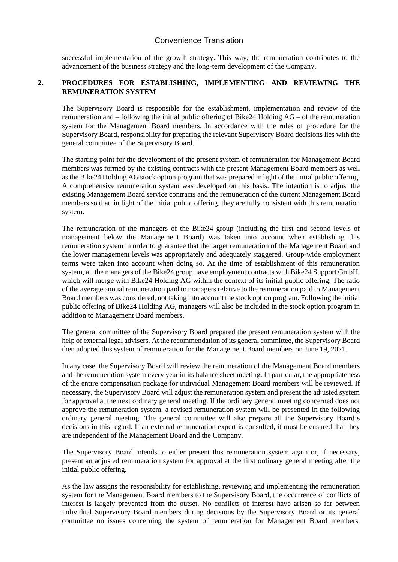successful implementation of the growth strategy. This way, the remuneration contributes to the advancement of the business strategy and the long-term development of the Company.

### **2. PROCEDURES FOR ESTABLISHING, IMPLEMENTING AND REVIEWING THE REMUNERATION SYSTEM**

The Supervisory Board is responsible for the establishment, implementation and review of the remuneration and – following the initial public offering of Bike24 Holding AG – of the remuneration system for the Management Board members. In accordance with the rules of procedure for the Supervisory Board, responsibility for preparing the relevant Supervisory Board decisions lies with the general committee of the Supervisory Board.

The starting point for the development of the present system of remuneration for Management Board members was formed by the existing contracts with the present Management Board members as well as the Bike24 Holding AG stock option program that was prepared in light of the initial public offering. A comprehensive remuneration system was developed on this basis. The intention is to adjust the existing Management Board service contracts and the remuneration of the current Management Board members so that, in light of the initial public offering, they are fully consistent with this remuneration system.

The remuneration of the managers of the Bike24 group (including the first and second levels of management below the Management Board) was taken into account when establishing this remuneration system in order to guarantee that the target remuneration of the Management Board and the lower management levels was appropriately and adequately staggered. Group-wide employment terms were taken into account when doing so. At the time of establishment of this remuneration system, all the managers of the Bike24 group have employment contracts with Bike24 Support GmbH, which will merge with Bike24 Holding AG within the context of its initial public offering. The ratio of the average annual remuneration paid to managers relative to the remuneration paid to Management Board members was considered, not taking into account the stock option program. Following the initial public offering of Bike24 Holding AG, managers will also be included in the stock option program in addition to Management Board members.

The general committee of the Supervisory Board prepared the present remuneration system with the help of external legal advisers. At the recommendation of its general committee, the Supervisory Board then adopted this system of remuneration for the Management Board members on June 19, 2021.

In any case, the Supervisory Board will review the remuneration of the Management Board members and the remuneration system every year in its balance sheet meeting. In particular, the appropriateness of the entire compensation package for individual Management Board members will be reviewed. If necessary, the Supervisory Board will adjust the remuneration system and present the adjusted system for approval at the next ordinary general meeting. If the ordinary general meeting concerned does not approve the remuneration system, a revised remuneration system will be presented in the following ordinary general meeting. The general committee will also prepare all the Supervisory Board's decisions in this regard. If an external remuneration expert is consulted, it must be ensured that they are independent of the Management Board and the Company.

The Supervisory Board intends to either present this remuneration system again or, if necessary, present an adjusted remuneration system for approval at the first ordinary general meeting after the initial public offering.

As the law assigns the responsibility for establishing, reviewing and implementing the remuneration system for the Management Board members to the Supervisory Board, the occurrence of conflicts of interest is largely prevented from the outset. No conflicts of interest have arisen so far between individual Supervisory Board members during decisions by the Supervisory Board or its general committee on issues concerning the system of remuneration for Management Board members.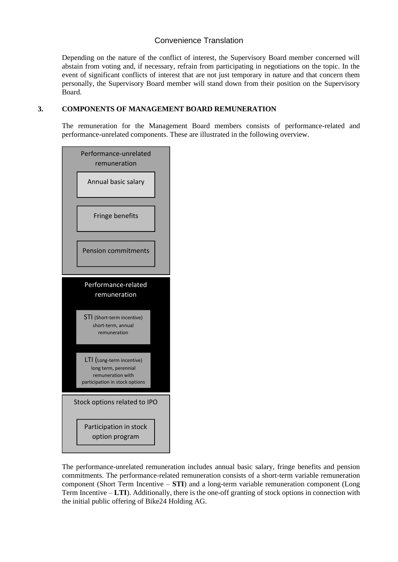Depending on the nature of the conflict of interest, the Supervisory Board member concerned will abstain from voting and, if necessary, refrain from participating in negotiations on the topic. In the event of significant conflicts of interest that are not just temporary in nature and that concern them personally, the Supervisory Board member will stand down from their position on the Supervisory Board.

## **3. COMPONENTS OF MANAGEMENT BOARD REMUNERATION**

The remuneration for the Management Board members consists of performance-related and performance-unrelated components. These are illustrated in the following overview.



The performance-unrelated remuneration includes annual basic salary, fringe benefits and pension commitments. The performance-related remuneration consists of a short-term variable remuneration component (Short Term Incentive – **STI**) and a long-term variable remuneration component (Long Term Incentive – **LTI**). Additionally, there is the one-off granting of stock options in connection with the initial public offering of Bike24 Holding AG.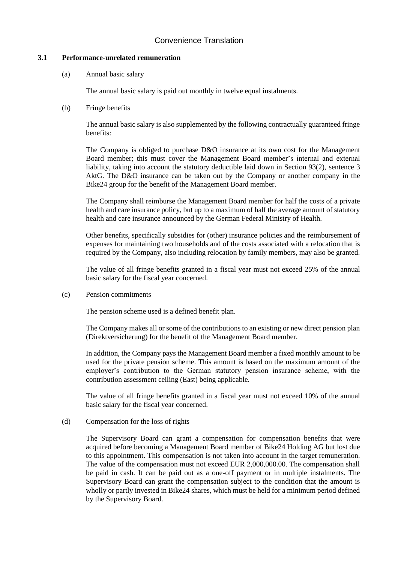### **3.1 Performance-unrelated remuneration**

(a) Annual basic salary

The annual basic salary is paid out monthly in twelve equal instalments.

(b) Fringe benefits

The annual basic salary is also supplemented by the following contractually guaranteed fringe benefits:

The Company is obliged to purchase D&O insurance at its own cost for the Management Board member; this must cover the Management Board member's internal and external liability, taking into account the statutory deductible laid down in Section 93(2), sentence 3 AktG. The D&O insurance can be taken out by the Company or another company in the Bike24 group for the benefit of the Management Board member.

The Company shall reimburse the Management Board member for half the costs of a private health and care insurance policy, but up to a maximum of half the average amount of statutory health and care insurance announced by the German Federal Ministry of Health.

Other benefits, specifically subsidies for (other) insurance policies and the reimbursement of expenses for maintaining two households and of the costs associated with a relocation that is required by the Company, also including relocation by family members, may also be granted.

The value of all fringe benefits granted in a fiscal year must not exceed 25% of the annual basic salary for the fiscal year concerned.

(c) Pension commitments

The pension scheme used is a defined benefit plan.

The Company makes all or some of the contributions to an existing or new direct pension plan (Direktversicherung) for the benefit of the Management Board member.

In addition, the Company pays the Management Board member a fixed monthly amount to be used for the private pension scheme. This amount is based on the maximum amount of the employer's contribution to the German statutory pension insurance scheme, with the contribution assessment ceiling (East) being applicable.

The value of all fringe benefits granted in a fiscal year must not exceed 10% of the annual basic salary for the fiscal year concerned.

(d) Compensation for the loss of rights

The Supervisory Board can grant a compensation for compensation benefits that were acquired before becoming a Management Board member of Bike24 Holding AG but lost due to this appointment. This compensation is not taken into account in the target remuneration. The value of the compensation must not exceed EUR 2,000,000.00. The compensation shall be paid in cash. It can be paid out as a one-off payment or in multiple instalments. The Supervisory Board can grant the compensation subject to the condition that the amount is wholly or partly invested in Bike24 shares, which must be held for a minimum period defined by the Supervisory Board.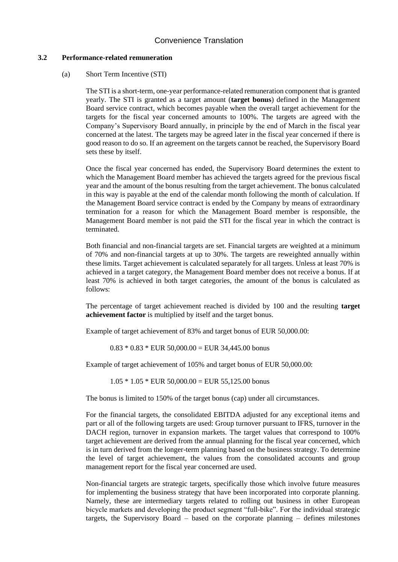#### **3.2 Performance-related remuneration**

#### (a) Short Term Incentive (STI)

The STI is a short-term, one-year performance-related remuneration component that is granted yearly. The STI is granted as a target amount (**target bonus**) defined in the Management Board service contract, which becomes payable when the overall target achievement for the targets for the fiscal year concerned amounts to 100%. The targets are agreed with the Company's Supervisory Board annually, in principle by the end of March in the fiscal year concerned at the latest. The targets may be agreed later in the fiscal year concerned if there is good reason to do so. If an agreement on the targets cannot be reached, the Supervisory Board sets these by itself.

Once the fiscal year concerned has ended, the Supervisory Board determines the extent to which the Management Board member has achieved the targets agreed for the previous fiscal year and the amount of the bonus resulting from the target achievement. The bonus calculated in this way is payable at the end of the calendar month following the month of calculation. If the Management Board service contract is ended by the Company by means of extraordinary termination for a reason for which the Management Board member is responsible, the Management Board member is not paid the STI for the fiscal year in which the contract is terminated.

Both financial and non-financial targets are set. Financial targets are weighted at a minimum of 70% and non-financial targets at up to 30%. The targets are reweighted annually within these limits. Target achievement is calculated separately for all targets. Unless at least 70% is achieved in a target category, the Management Board member does not receive a bonus. If at least 70% is achieved in both target categories, the amount of the bonus is calculated as follows:

The percentage of target achievement reached is divided by 100 and the resulting **target achievement factor** is multiplied by itself and the target bonus.

Example of target achievement of 83% and target bonus of EUR 50,000.00:

 $0.83 * 0.83 *$  EUR  $50,000.00 =$  EUR 34,445.00 bonus

Example of target achievement of 105% and target bonus of EUR 50,000.00:

 $1.05 * 1.05 * EUR 50,000.00 = EUR 55,125.00 bonus$ 

The bonus is limited to 150% of the target bonus (cap) under all circumstances.

For the financial targets, the consolidated EBITDA adjusted for any exceptional items and part or all of the following targets are used: Group turnover pursuant to IFRS, turnover in the DACH region, turnover in expansion markets. The target values that correspond to 100% target achievement are derived from the annual planning for the fiscal year concerned, which is in turn derived from the longer-term planning based on the business strategy. To determine the level of target achievement, the values from the consolidated accounts and group management report for the fiscal year concerned are used.

Non-financial targets are strategic targets, specifically those which involve future measures for implementing the business strategy that have been incorporated into corporate planning. Namely, these are intermediary targets related to rolling out business in other European bicycle markets and developing the product segment "full-bike". For the individual strategic targets, the Supervisory Board – based on the corporate planning – defines milestones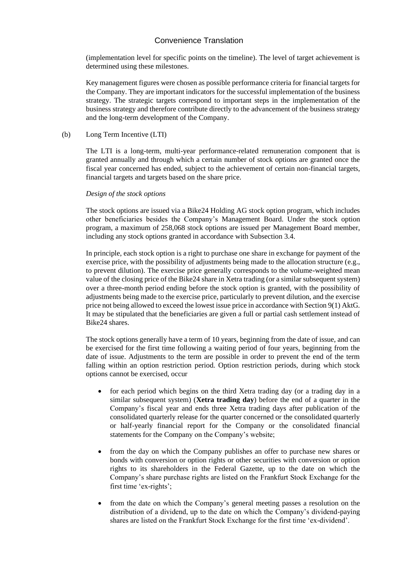(implementation level for specific points on the timeline). The level of target achievement is determined using these milestones.

Key management figures were chosen as possible performance criteria for financial targets for the Company. They are important indicators for the successful implementation of the business strategy. The strategic targets correspond to important steps in the implementation of the business strategy and therefore contribute directly to the advancement of the business strategy and the long-term development of the Company.

#### (b) Long Term Incentive (LTI)

The LTI is a long-term, multi-year performance-related remuneration component that is granted annually and through which a certain number of stock options are granted once the fiscal year concerned has ended, subject to the achievement of certain non-financial targets, financial targets and targets based on the share price.

#### *Design of the stock options*

The stock options are issued via a Bike24 Holding AG stock option program, which includes other beneficiaries besides the Company's Management Board. Under the stock option program, a maximum of 258,068 stock options are issued per Management Board member, including any stock options granted in accordance with Subsection 3.4.

In principle, each stock option is a right to purchase one share in exchange for payment of the exercise price, with the possibility of adjustments being made to the allocation structure (e.g., to prevent dilution). The exercise price generally corresponds to the volume-weighted mean value of the closing price of the Bike24 share in Xetra trading (or a similar subsequent system) over a three-month period ending before the stock option is granted, with the possibility of adjustments being made to the exercise price, particularly to prevent dilution, and the exercise price not being allowed to exceed the lowest issue price in accordance with Section 9(1) AktG. It may be stipulated that the beneficiaries are given a full or partial cash settlement instead of Bike24 shares.

The stock options generally have a term of 10 years, beginning from the date of issue, and can be exercised for the first time following a waiting period of four years, beginning from the date of issue. Adjustments to the term are possible in order to prevent the end of the term falling within an option restriction period. Option restriction periods, during which stock options cannot be exercised, occur

- for each period which begins on the third Xetra trading day (or a trading day in a similar subsequent system) (**Xetra trading day**) before the end of a quarter in the Company's fiscal year and ends three Xetra trading days after publication of the consolidated quarterly release for the quarter concerned or the consolidated quarterly or half-yearly financial report for the Company or the consolidated financial statements for the Company on the Company's website;
- from the day on which the Company publishes an offer to purchase new shares or bonds with conversion or option rights or other securities with conversion or option rights to its shareholders in the Federal Gazette, up to the date on which the Company's share purchase rights are listed on the Frankfurt Stock Exchange for the first time 'ex-rights';
- from the date on which the Company's general meeting passes a resolution on the distribution of a dividend, up to the date on which the Company's dividend-paying shares are listed on the Frankfurt Stock Exchange for the first time 'ex-dividend'.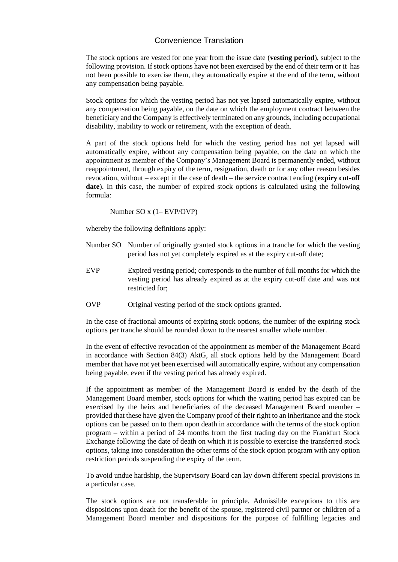The stock options are vested for one year from the issue date (**vesting period**), subject to the following provision. If stock options have not been exercised by the end of their term or it has not been possible to exercise them, they automatically expire at the end of the term, without any compensation being payable.

Stock options for which the vesting period has not yet lapsed automatically expire, without any compensation being payable, on the date on which the employment contract between the beneficiary and the Company is effectively terminated on any grounds, including occupational disability, inability to work or retirement, with the exception of death.

A part of the stock options held for which the vesting period has not yet lapsed will automatically expire, without any compensation being payable, on the date on which the appointment as member of the Company's Management Board is permanently ended, without reappointment, through expiry of the term, resignation, death or for any other reason besides revocation, without – except in the case of death – the service contract ending (**expiry cut-off**  date). In this case, the number of expired stock options is calculated using the following formula:

Number SO x (1– EVP/OVP)

whereby the following definitions apply:

- Number SO Number of originally granted stock options in a tranche for which the vesting period has not yet completely expired as at the expiry cut-off date;
- EVP Expired vesting period; corresponds to the number of full months for which the vesting period has already expired as at the expiry cut-off date and was not restricted for;
- OVP Original vesting period of the stock options granted.

In the case of fractional amounts of expiring stock options, the number of the expiring stock options per tranche should be rounded down to the nearest smaller whole number.

In the event of effective revocation of the appointment as member of the Management Board in accordance with Section 84(3) AktG, all stock options held by the Management Board member that have not yet been exercised will automatically expire, without any compensation being payable, even if the vesting period has already expired.

If the appointment as member of the Management Board is ended by the death of the Management Board member, stock options for which the waiting period has expired can be exercised by the heirs and beneficiaries of the deceased Management Board member – provided that these have given the Company proof of their right to an inheritance and the stock options can be passed on to them upon death in accordance with the terms of the stock option program – within a period of 24 months from the first trading day on the Frankfurt Stock Exchange following the date of death on which it is possible to exercise the transferred stock options, taking into consideration the other terms of the stock option program with any option restriction periods suspending the expiry of the term.

To avoid undue hardship, the Supervisory Board can lay down different special provisions in a particular case.

The stock options are not transferable in principle. Admissible exceptions to this are dispositions upon death for the benefit of the spouse, registered civil partner or children of a Management Board member and dispositions for the purpose of fulfilling legacies and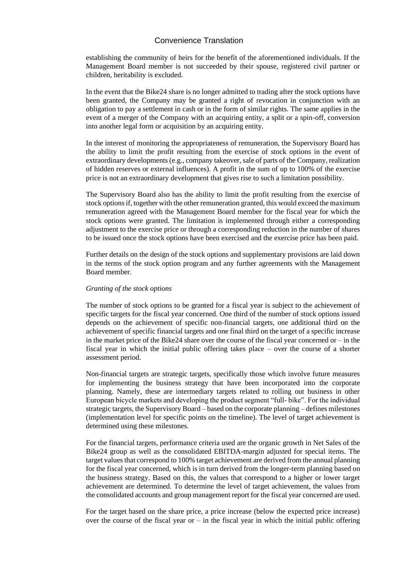establishing the community of heirs for the benefit of the aforementioned individuals. If the Management Board member is not succeeded by their spouse, registered civil partner or children, heritability is excluded.

In the event that the Bike24 share is no longer admitted to trading after the stock options have been granted, the Company may be granted a right of revocation in conjunction with an obligation to pay a settlement in cash or in the form of similar rights. The same applies in the event of a merger of the Company with an acquiring entity, a split or a spin-off, conversion into another legal form or acquisition by an acquiring entity.

In the interest of monitoring the appropriateness of remuneration, the Supervisory Board has the ability to limit the profit resulting from the exercise of stock options in the event of extraordinary developments (e.g., company takeover, sale of parts of the Company, realization of hidden reserves or external influences). A profit in the sum of up to 100% of the exercise price is not an extraordinary development that gives rise to such a limitation possibility.

The Supervisory Board also has the ability to limit the profit resulting from the exercise of stock options if, together with the other remuneration granted, this would exceed the maximum remuneration agreed with the Management Board member for the fiscal year for which the stock options were granted. The limitation is implemented through either a corresponding adjustment to the exercise price or through a corresponding reduction in the number of shares to be issued once the stock options have been exercised and the exercise price has been paid.

Further details on the design of the stock options and supplementary provisions are laid down in the terms of the stock option program and any further agreements with the Management Board member.

#### *Granting of the stock options*

The number of stock options to be granted for a fiscal year is subject to the achievement of specific targets for the fiscal year concerned. One third of the number of stock options issued depends on the achievement of specific non-financial targets, one additional third on the achievement of specific financial targets and one final third on the target of a specific increase in the market price of the Bike24 share over the course of the fiscal year concerned or  $-$  in the fiscal year in which the initial public offering takes place – over the course of a shorter assessment period.

Non-financial targets are strategic targets, specifically those which involve future measures for implementing the business strategy that have been incorporated into the corporate planning. Namely, these are intermediary targets related to rolling out business in other European bicycle markets and developing the product segment "full- bike". For the individual strategic targets, the Supervisory Board – based on the corporate planning – defines milestones (implementation level for specific points on the timeline). The level of target achievement is determined using these milestones.

For the financial targets, performance criteria used are the organic growth in Net Sales of the Bike24 group as well as the consolidated EBITDA-margin adjusted for special items. The target values that correspond to 100% target achievement are derived from the annual planning for the fiscal year concerned, which is in turn derived from the longer-term planning based on the business strategy. Based on this, the values that correspond to a higher or lower target achievement are determined. To determine the level of target achievement, the values from the consolidated accounts and group management report for the fiscal year concerned are used.

For the target based on the share price, a price increase (below the expected price increase) over the course of the fiscal year or  $-$  in the fiscal year in which the initial public offering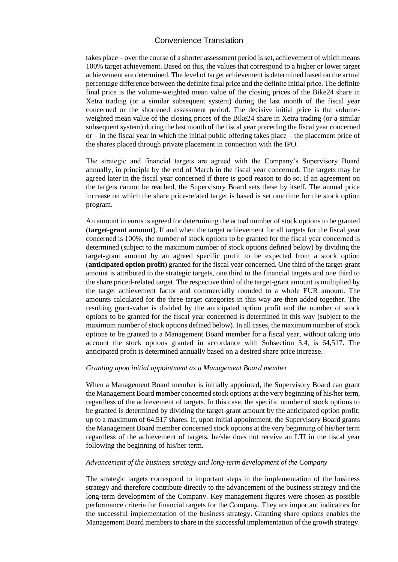takes place – over the course of a shorter assessment period is set, achievement of which means 100% target achievement. Based on this, the values that correspond to a higher or lower target achievement are determined. The level of target achievement is determined based on the actual percentage difference between the definite final price and the definite initial price. The definite final price is the volume-weighted mean value of the closing prices of the Bike24 share in Xetra trading (or a similar subsequent system) during the last month of the fiscal year concerned or the shortened assessment period. The decisive initial price is the volumeweighted mean value of the closing prices of the Bike24 share in Xetra trading (or a similar subsequent system) during the last month of the fiscal year preceding the fiscal year concerned  $or$  – in the fiscal year in which the initial public offering takes place – the placement price of the shares placed through private placement in connection with the IPO.

The strategic and financial targets are agreed with the Company's Supervisory Board annually, in principle by the end of March in the fiscal year concerned. The targets may be agreed later in the fiscal year concerned if there is good reason to do so. If an agreement on the targets cannot be reached, the Supervisory Board sets these by itself. The annual price increase on which the share price-related target is based is set one time for the stock option program.

An amount in euros is agreed for determining the actual number of stock options to be granted (**target-grant amount**). If and when the target achievement for all targets for the fiscal year concerned is 100%, the number of stock options to be granted for the fiscal year concerned is determined (subject to the maximum number of stock options defined below) by dividing the target-grant amount by an agreed specific profit to be expected from a stock option (**anticipated option profit**) granted for the fiscal year concerned. One third of the target-grant amount is attributed to the strategic targets, one third to the financial targets and one third to the share priced-related target. The respective third of the target-grant amount is multiplied by the target achievement factor and commercially rounded to a whole EUR amount. The amounts calculated for the three target categories in this way are then added together. The resulting grant-value is divided by the anticipated option profit and the number of stock options to be granted for the fiscal year concerned is determined in this way (subject to the maximum number of stock options defined below). In all cases, the maximum number of stock options to be granted to a Management Board member for a fiscal year, without taking into account the stock options granted in accordance with Subsection 3.4, is 64,517. The anticipated profit is determined annually based on a desired share price increase.

#### *Granting upon initial appointment as a Management Board member*

When a Management Board member is initially appointed, the Supervisory Board can grant the Management Board member concerned stock options at the very beginning of his/her term, regardless of the achievement of targets. In this case, the specific number of stock options to be granted is determined by dividing the target-grant amount by the anticipated option profit; up to a maximum of 64,517 shares. If, upon initial appointment, the Supervisory Board grants the Management Board member concerned stock options at the very beginning of his/her term regardless of the achievement of targets, he/she does not receive an LTI in the fiscal year following the beginning of his/her term.

#### *Advancement of the business strategy and long-term development of the Company*

The strategic targets correspond to important steps in the implementation of the business strategy and therefore contribute directly to the advancement of the business strategy and the long-term development of the Company. Key management figures were chosen as possible performance criteria for financial targets for the Company. They are important indicators for the successful implementation of the business strategy. Granting share options enables the Management Board members to share in the successful implementation of the growth strategy.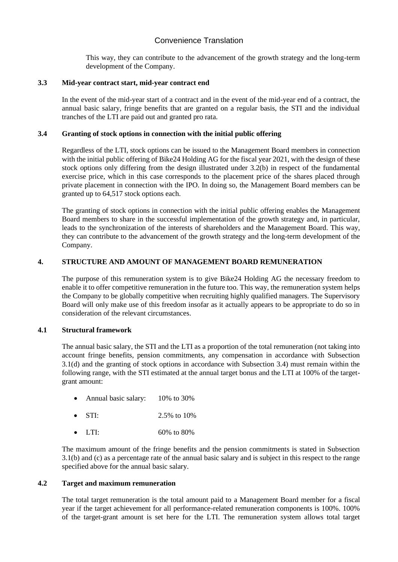This way, they can contribute to the advancement of the growth strategy and the long-term development of the Company.

#### **3.3 Mid-year contract start, mid-year contract end**

In the event of the mid-year start of a contract and in the event of the mid-year end of a contract, the annual basic salary, fringe benefits that are granted on a regular basis, the STI and the individual tranches of the LTI are paid out and granted pro rata.

#### **3.4 Granting of stock options in connection with the initial public offering**

Regardless of the LTI, stock options can be issued to the Management Board members in connection with the initial public offering of Bike24 Holding AG for the fiscal year 2021, with the design of these stock options only differing from the design illustrated under 3.2(b) in respect of the fundamental exercise price, which in this case corresponds to the placement price of the shares placed through private placement in connection with the IPO. In doing so, the Management Board members can be granted up to 64,517 stock options each.

The granting of stock options in connection with the initial public offering enables the Management Board members to share in the successful implementation of the growth strategy and, in particular, leads to the synchronization of the interests of shareholders and the Management Board. This way, they can contribute to the advancement of the growth strategy and the long-term development of the Company.

#### **4. STRUCTURE AND AMOUNT OF MANAGEMENT BOARD REMUNERATION**

The purpose of this remuneration system is to give Bike24 Holding AG the necessary freedom to enable it to offer competitive remuneration in the future too. This way, the remuneration system helps the Company to be globally competitive when recruiting highly qualified managers. The Supervisory Board will only make use of this freedom insofar as it actually appears to be appropriate to do so in consideration of the relevant circumstances.

#### **4.1 Structural framework**

The annual basic salary, the STI and the LTI as a proportion of the total remuneration (not taking into account fringe benefits, pension commitments, any compensation in accordance with Subsection 3.1(d) and the granting of stock options in accordance with Subsection 3.4) must remain within the following range, with the STI estimated at the annual target bonus and the LTI at 100% of the targetgrant amount:

- Annual basic salary: 10% to 30%
- STI:  $2.5\%$  to  $10\%$
- LTI:  $60\% \text{ to } 80\%$

The maximum amount of the fringe benefits and the pension commitments is stated in Subsection 3.1(b) and (c) as a percentage rate of the annual basic salary and is subject in this respect to the range specified above for the annual basic salary.

#### **4.2 Target and maximum remuneration**

The total target remuneration is the total amount paid to a Management Board member for a fiscal year if the target achievement for all performance-related remuneration components is 100%. 100% of the target-grant amount is set here for the LTI. The remuneration system allows total target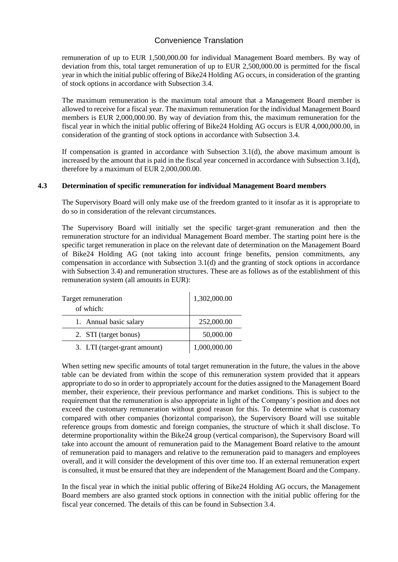remuneration of up to EUR 1,500,000.00 for individual Management Board members. By way of deviation from this, total target remuneration of up to EUR 2,500,000.00 is permitted for the fiscal year in which the initial public offering of Bike24 Holding AG occurs, in consideration of the granting of stock options in accordance with Subsection 3.4.

The maximum remuneration is the maximum total amount that a Management Board member is allowed to receive for a fiscal year. The maximum remuneration for the individual Management Board members is EUR 2,000,000.00. By way of deviation from this, the maximum remuneration for the fiscal year in which the initial public offering of Bike24 Holding AG occurs is EUR 4,000,000.00, in consideration of the granting of stock options in accordance with Subsection 3.4.

If compensation is granted in accordance with Subsection 3.1(d), the above maximum amount is increased by the amount that is paid in the fiscal year concerned in accordance with Subsection 3.1(d), therefore by a maximum of EUR 2,000,000.00.

#### **4.3 Determination of specific remuneration for individual Management Board members**

The Supervisory Board will only make use of the freedom granted to it insofar as it is appropriate to do so in consideration of the relevant circumstances.

The Supervisory Board will initially set the specific target-grant remuneration and then the remuneration structure for an individual Management Board member. The starting point here is the specific target remuneration in place on the relevant date of determination on the Management Board of Bike24 Holding AG (not taking into account fringe benefits, pension commitments, any compensation in accordance with Subsection 3.1(d) and the granting of stock options in accordance with Subsection 3.4) and remuneration structures. These are as follows as of the establishment of this remuneration system (all amounts in EUR):

| Target remuneration          | 1,302,000.00 |
|------------------------------|--------------|
| of which:                    |              |
| 1. Annual basic salary       | 252,000.00   |
| 2. STI (target bonus)        | 50,000.00    |
| 3. LTI (target-grant amount) | 1,000,000.00 |

When setting new specific amounts of total target remuneration in the future, the values in the above table can be deviated from within the scope of this remuneration system provided that it appears appropriate to do so in order to appropriately account for the duties assigned to the Management Board member, their experience, their previous performance and market conditions. This is subject to the requirement that the remuneration is also appropriate in light of the Company's position and does not exceed the customary remuneration without good reason for this. To determine what is customary compared with other companies (horizontal comparison), the Supervisory Board will use suitable reference groups from domestic and foreign companies, the structure of which it shall disclose. To determine proportionality within the Bike24 group (vertical comparison), the Supervisory Board will take into account the amount of remuneration paid to the Management Board relative to the amount of remuneration paid to managers and relative to the remuneration paid to managers and employees overall, and it will consider the development of this over time too. If an external remuneration expert is consulted, it must be ensured that they are independent of the Management Board and the Company.

In the fiscal year in which the initial public offering of Bike24 Holding AG occurs, the Management Board members are also granted stock options in connection with the initial public offering for the fiscal year concerned. The details of this can be found in Subsection 3.4.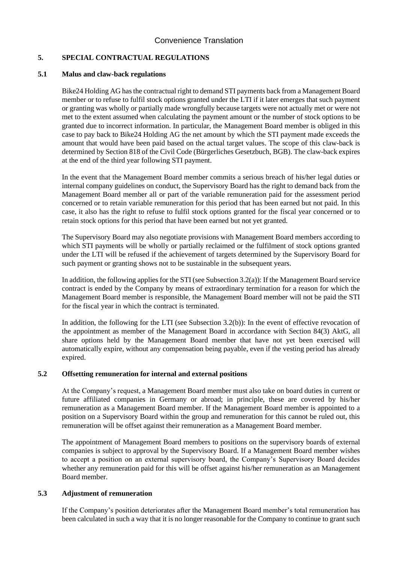### **5. SPECIAL CONTRACTUAL REGULATIONS**

#### **5.1 Malus and claw-back regulations**

Bike24 Holding AG has the contractual right to demand STI payments back from a Management Board member or to refuse to fulfil stock options granted under the LTI if it later emerges that such payment or granting was wholly or partially made wrongfully because targets were not actually met or were not met to the extent assumed when calculating the payment amount or the number of stock options to be granted due to incorrect information. In particular, the Management Board member is obliged in this case to pay back to Bike24 Holding AG the net amount by which the STI payment made exceeds the amount that would have been paid based on the actual target values. The scope of this claw-back is determined by Section 818 of the Civil Code (Bürgerliches Gesetzbuch, BGB). The claw-back expires at the end of the third year following STI payment.

In the event that the Management Board member commits a serious breach of his/her legal duties or internal company guidelines on conduct, the Supervisory Board has the right to demand back from the Management Board member all or part of the variable remuneration paid for the assessment period concerned or to retain variable remuneration for this period that has been earned but not paid. In this case, it also has the right to refuse to fulfil stock options granted for the fiscal year concerned or to retain stock options for this period that have been earned but not yet granted.

The Supervisory Board may also negotiate provisions with Management Board members according to which STI payments will be wholly or partially reclaimed or the fulfilment of stock options granted under the LTI will be refused if the achievement of targets determined by the Supervisory Board for such payment or granting shows not to be sustainable in the subsequent years.

In addition, the following applies for the STI (see Subsection 3.2(a)): If the Management Board service contract is ended by the Company by means of extraordinary termination for a reason for which the Management Board member is responsible, the Management Board member will not be paid the STI for the fiscal year in which the contract is terminated.

In addition, the following for the LTI (see Subsection 3.2(b)): In the event of effective revocation of the appointment as member of the Management Board in accordance with Section 84(3) AktG, all share options held by the Management Board member that have not yet been exercised will automatically expire, without any compensation being payable, even if the vesting period has already expired.

#### **5.2 Offsetting remuneration for internal and external positions**

At the Company's request, a Management Board member must also take on board duties in current or future affiliated companies in Germany or abroad; in principle, these are covered by his/her remuneration as a Management Board member. If the Management Board member is appointed to a position on a Supervisory Board within the group and remuneration for this cannot be ruled out, this remuneration will be offset against their remuneration as a Management Board member.

The appointment of Management Board members to positions on the supervisory boards of external companies is subject to approval by the Supervisory Board. If a Management Board member wishes to accept a position on an external supervisory board, the Company's Supervisory Board decides whether any remuneration paid for this will be offset against his/her remuneration as an Management Board member.

### **5.3 Adjustment of remuneration**

If the Company's position deteriorates after the Management Board member's total remuneration has been calculated in such a way that it is no longer reasonable for the Company to continue to grant such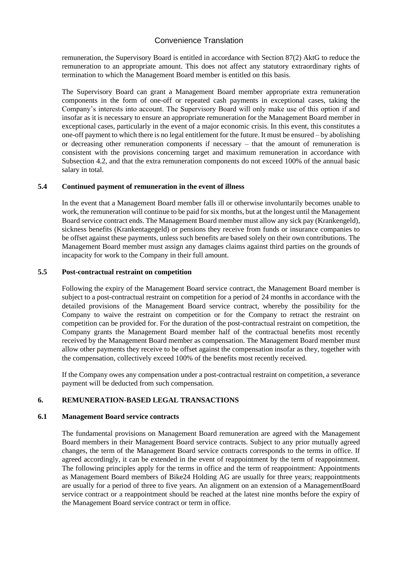remuneration, the Supervisory Board is entitled in accordance with Section 87(2) AktG to reduce the remuneration to an appropriate amount. This does not affect any statutory extraordinary rights of termination to which the Management Board member is entitled on this basis.

The Supervisory Board can grant a Management Board member appropriate extra remuneration components in the form of one-off or repeated cash payments in exceptional cases, taking the Company's interests into account. The Supervisory Board will only make use of this option if and insofar as it is necessary to ensure an appropriate remuneration for the Management Board member in exceptional cases, particularly in the event of a major economic crisis. In this event, this constitutes a one-off payment to which there is no legal entitlement for the future. It must be ensured – by abolishing or decreasing other remuneration components if necessary – that the amount of remuneration is consistent with the provisions concerning target and maximum remuneration in accordance with Subsection 4.2, and that the extra remuneration components do not exceed 100% of the annual basic salary in total.

#### **5.4 Continued payment of remuneration in the event of illness**

In the event that a Management Board member falls ill or otherwise involuntarily becomes unable to work, the remuneration will continue to be paid for six months, but at the longest until the Management Board service contract ends. The Management Board member must allow any sick pay (Krankengeld), sickness benefits (Krankentagegeld) or pensions they receive from funds or insurance companies to be offset against these payments, unless such benefits are based solely on their own contributions. The Management Board member must assign any damages claims against third parties on the grounds of incapacity for work to the Company in their full amount.

#### **5.5 Post-contractual restraint on competition**

Following the expiry of the Management Board service contract, the Management Board member is subject to a post-contractual restraint on competition for a period of 24 months in accordance with the detailed provisions of the Management Board service contract, whereby the possibility for the Company to waive the restraint on competition or for the Company to retract the restraint on competition can be provided for. For the duration of the post-contractual restraint on competition, the Company grants the Management Board member half of the contractual benefits most recently received by the Management Board member as compensation. The Management Board member must allow other payments they receive to be offset against the compensation insofar as they, together with the compensation, collectively exceed 100% of the benefits most recently received.

If the Company owes any compensation under a post-contractual restraint on competition, a severance payment will be deducted from such compensation.

## **6. REMUNERATION-BASED LEGAL TRANSACTIONS**

#### **6.1 Management Board service contracts**

The fundamental provisions on Management Board remuneration are agreed with the Management Board members in their Management Board service contracts. Subject to any prior mutually agreed changes, the term of the Management Board service contracts corresponds to the terms in office. If agreed accordingly, it can be extended in the event of reappointment by the term of reappointment. The following principles apply for the terms in office and the term of reappointment: Appointments as Management Board members of Bike24 Holding AG are usually for three years; reappointments are usually for a period of three to five years. An alignment on an extension of a ManagementBoard service contract or a reappointment should be reached at the latest nine months before the expiry of the Management Board service contract or term in office.